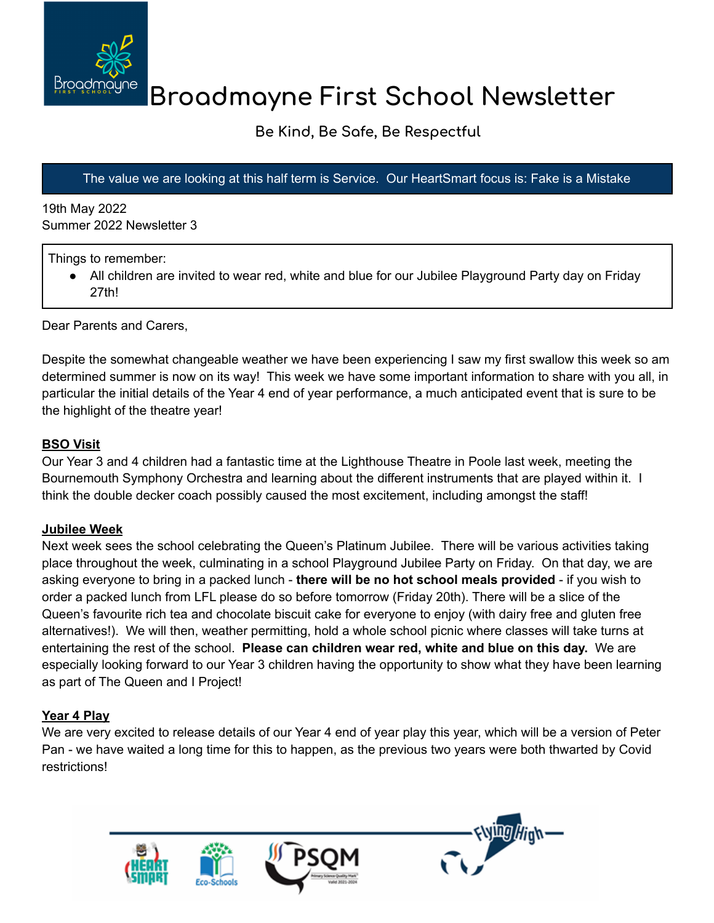

# **Broadmayne First School Newsletter**

## **Be Kind, Be Safe, Be Respectful**

### The value we are looking at this half term is Service. Our HeartSmart focus is: Fake is a Mistake

19th May 2022 Summer 2022 Newsletter 3

Things to remember:

• All children are invited to wear red, white and blue for our Jubilee Playground Party day on Friday 27th!

Dear Parents and Carers,

Despite the somewhat changeable weather we have been experiencing I saw my first swallow this week so am determined summer is now on its way! This week we have some important information to share with you all, in particular the initial details of the Year 4 end of year performance, a much anticipated event that is sure to be the highlight of the theatre year!

#### **BSO Visit**

Our Year 3 and 4 children had a fantastic time at the Lighthouse Theatre in Poole last week, meeting the Bournemouth Symphony Orchestra and learning about the different instruments that are played within it. I think the double decker coach possibly caused the most excitement, including amongst the staff!

#### **Jubilee Week**

Next week sees the school celebrating the Queen's Platinum Jubilee. There will be various activities taking place throughout the week, culminating in a school Playground Jubilee Party on Friday. On that day, we are asking everyone to bring in a packed lunch - **there will be no hot school meals provided** - if you wish to order a packed lunch from LFL please do so before tomorrow (Friday 20th). There will be a slice of the Queen's favourite rich tea and chocolate biscuit cake for everyone to enjoy (with dairy free and gluten free alternatives!). We will then, weather permitting, hold a whole school picnic where classes will take turns at entertaining the rest of the school. **Please can children wear red, white and blue on this day.** We are especially looking forward to our Year 3 children having the opportunity to show what they have been learning as part of The Queen and I Project!

#### **Year 4 Play**

We are very excited to release details of our Year 4 end of year play this year, which will be a version of Peter Pan - we have waited a long time for this to happen, as the previous two years were both thwarted by Covid restrictions!

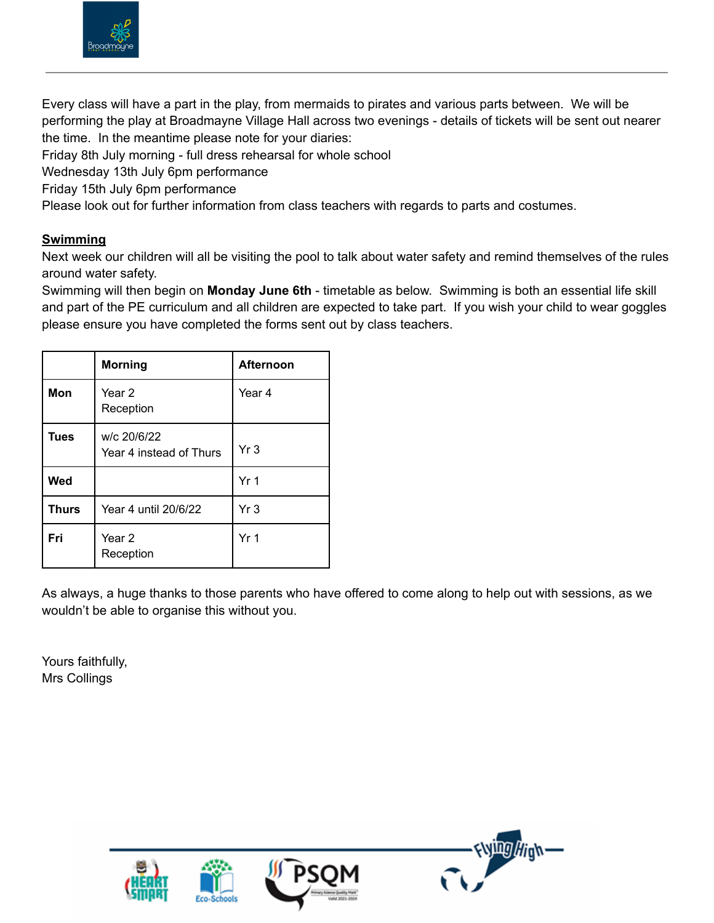

Every class will have a part in the play, from mermaids to pirates and various parts between. We will be performing the play at Broadmayne Village Hall across two evenings - details of tickets will be sent out nearer the time. In the meantime please note for your diaries:

Friday 8th July morning - full dress rehearsal for whole school

Wednesday 13th July 6pm performance

Friday 15th July 6pm performance

Please look out for further information from class teachers with regards to parts and costumes.

#### **Swimming**

Next week our children will all be visiting the pool to talk about water safety and remind themselves of the rules around water safety.

Swimming will then begin on **Monday June 6th** - timetable as below. Swimming is both an essential life skill and part of the PE curriculum and all children are expected to take part. If you wish your child to wear goggles please ensure you have completed the forms sent out by class teachers.

|              | <b>Morning</b>                         | <b>Afternoon</b> |
|--------------|----------------------------------------|------------------|
| Mon          | Year 2<br>Reception                    | Year 4           |
| <b>Tues</b>  | w/c 20/6/22<br>Year 4 instead of Thurs | Yr <sub>3</sub>  |
| Wed          |                                        | Yr <sub>1</sub>  |
| <b>Thurs</b> | Year 4 until 20/6/22                   | Yr <sub>3</sub>  |
| Fri          | Year 2<br>Reception                    | Yr <sub>1</sub>  |

As always, a huge thanks to those parents who have offered to come along to help out with sessions, as we wouldn't be able to organise this without you.

Yours faithfully, Mrs Collings





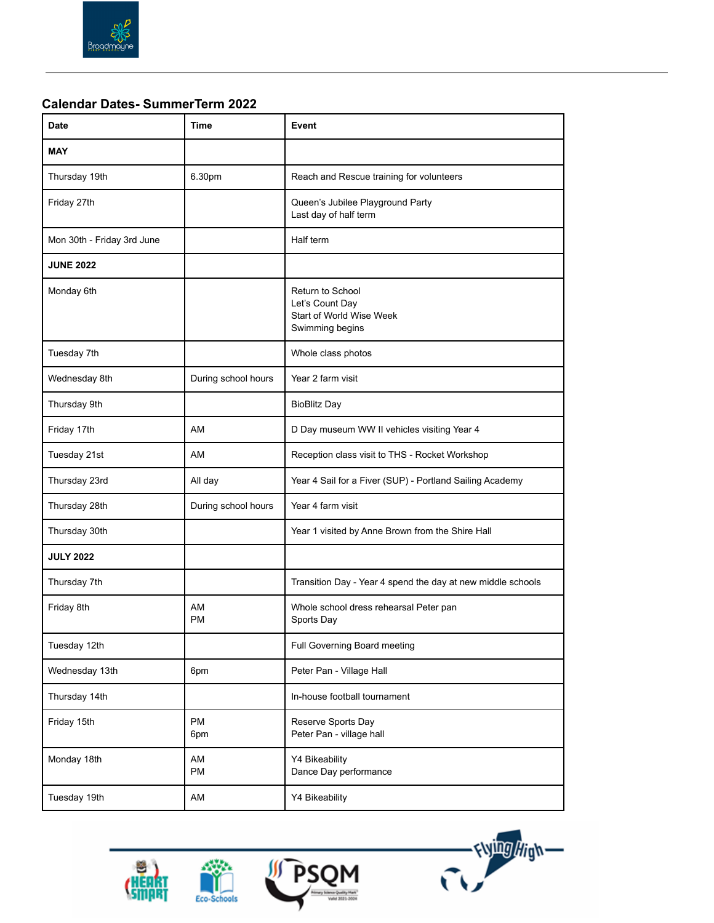

#### **Calendar Dates- SummerTerm 2022**

| <b>Date</b>                | Time                | Event                                                                              |
|----------------------------|---------------------|------------------------------------------------------------------------------------|
| <b>MAY</b>                 |                     |                                                                                    |
| Thursday 19th              | 6.30pm              | Reach and Rescue training for volunteers                                           |
| Friday 27th                |                     | Queen's Jubilee Playground Party<br>Last day of half term                          |
| Mon 30th - Friday 3rd June |                     | Half term                                                                          |
| <b>JUNE 2022</b>           |                     |                                                                                    |
| Monday 6th                 |                     | Return to School<br>Let's Count Day<br>Start of World Wise Week<br>Swimming begins |
| Tuesday 7th                |                     | Whole class photos                                                                 |
| Wednesday 8th              | During school hours | Year 2 farm visit                                                                  |
| Thursday 9th               |                     | <b>BioBlitz Day</b>                                                                |
| Friday 17th                | AM                  | D Day museum WW II vehicles visiting Year 4                                        |
| Tuesday 21st               | AM                  | Reception class visit to THS - Rocket Workshop                                     |
| Thursday 23rd              | All day             | Year 4 Sail for a Fiver (SUP) - Portland Sailing Academy                           |
| Thursday 28th              | During school hours | Year 4 farm visit                                                                  |
| Thursday 30th              |                     | Year 1 visited by Anne Brown from the Shire Hall                                   |
| <b>JULY 2022</b>           |                     |                                                                                    |
| Thursday 7th               |                     | Transition Day - Year 4 spend the day at new middle schools                        |
| Friday 8th                 | AM<br><b>PM</b>     | Whole school dress rehearsal Peter pan<br>Sports Day                               |
| Tuesday 12th               |                     | Full Governing Board meeting                                                       |
| Wednesday 13th             | 6pm                 | Peter Pan - Village Hall                                                           |
| Thursday 14th              |                     | In-house football tournament                                                       |
| Friday 15th                | PM<br>6pm           | Reserve Sports Day<br>Peter Pan - village hall                                     |
| Monday 18th                | AM<br><b>PM</b>     | Y4 Bikeability<br>Dance Day performance                                            |
| Tuesday 19th               | AM                  | Y4 Bikeability                                                                     |